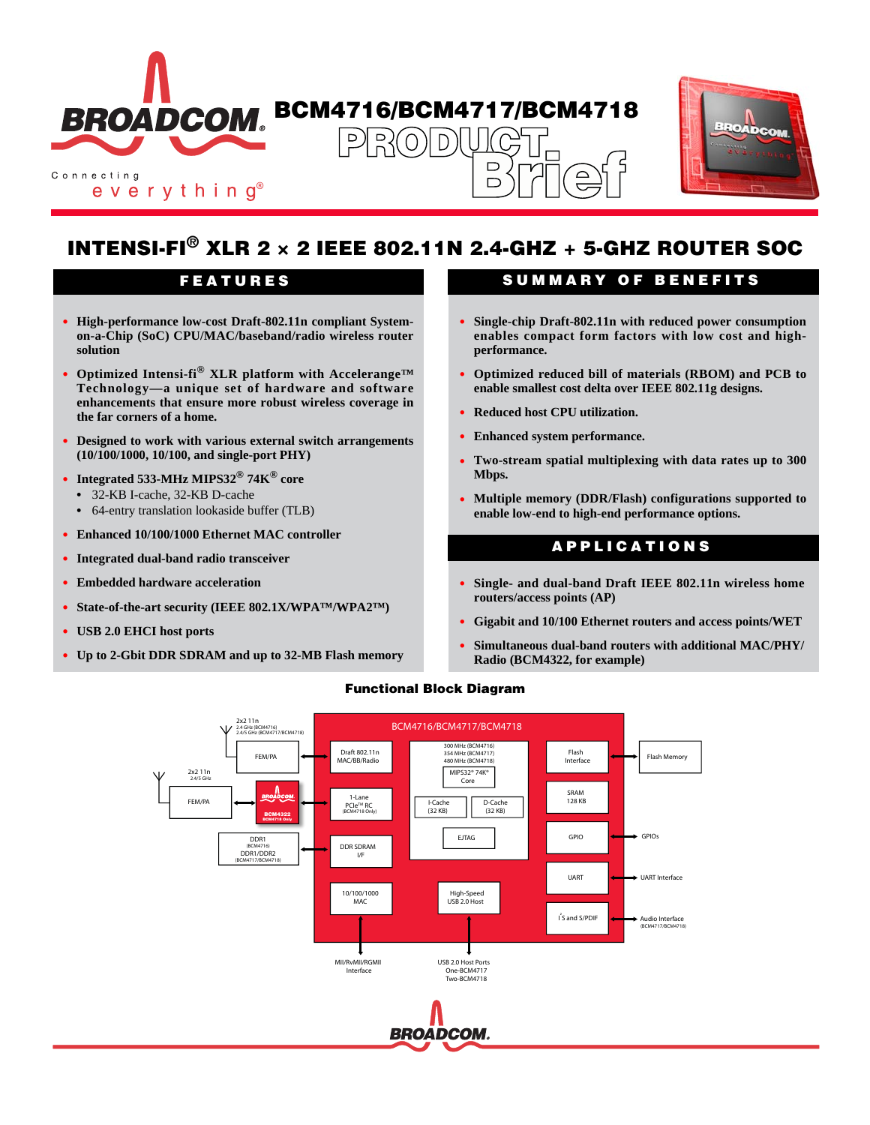



# **INTENSI-FI® XLR 2 × 2 IEEE 802.11N 2.4-GHZ + 5-GHZ ROUTER SOC**

- **• High-performance low-cost Draft-802.11n compliant Systemon-a-Chip (SoC) CPU/MAC/baseband/radio wireless router solution**
- **• Optimized Intensi-fi® XLR platform with Accelerange™ Technology—a unique set of hardware and software enhancements that ensure more robust wireless coverage in the far corners of a home.**
- **• Designed to work with various external switch arrangements (10/100/1000, 10/100, and single-port PHY)**
- **• Integrated 533-MHz MIPS32® 74K® core**
	- **•** 32-KB I-cache, 32-KB D-cache
	- **•** 64-entry translation lookaside buffer (TLB)
- **• Enhanced 10/100/1000 Ethernet MAC controller**
- **• Integrated dual-band radio transceiver**
- **• Embedded hardware acceleration**
- **• State-of-the-art security (IEEE 802.1X/WPA™/WPA2™)**
- **• USB 2.0 EHCI host ports**
- **• Up to 2-Gbit DDR SDRAM and up to 32-MB Flash memory**

### **FEATURES SUMMARY OF BENEFITS**

- **• Single-chip Draft-802.11n with reduced power consumption enables compact form factors with low cost and highperformance.**
- **• Optimized reduced bill of materials (RBOM) and PCB to enable smallest cost delta over IEEE 802.11g designs.**
- **• Reduced host CPU utilization.**
- **• Enhanced system performance.**
- **• Two-stream spatial multiplexing with data rates up to 300 Mbps.**
- **• Multiple memory (DDR/Flash) configurations supported to enable low-end to high-end performance options.**

## **APPLICATIONS**

- **• Single- and dual-band Draft IEEE 802.11n wireless home routers/access points (AP)**
- **• Gigabit and 10/100 Ethernet routers and access points/WET**
- **• Simultaneous dual-band routers with additional MAC/PHY/ Radio (BCM4322, for example)**



#### **Functional Block Diagram**